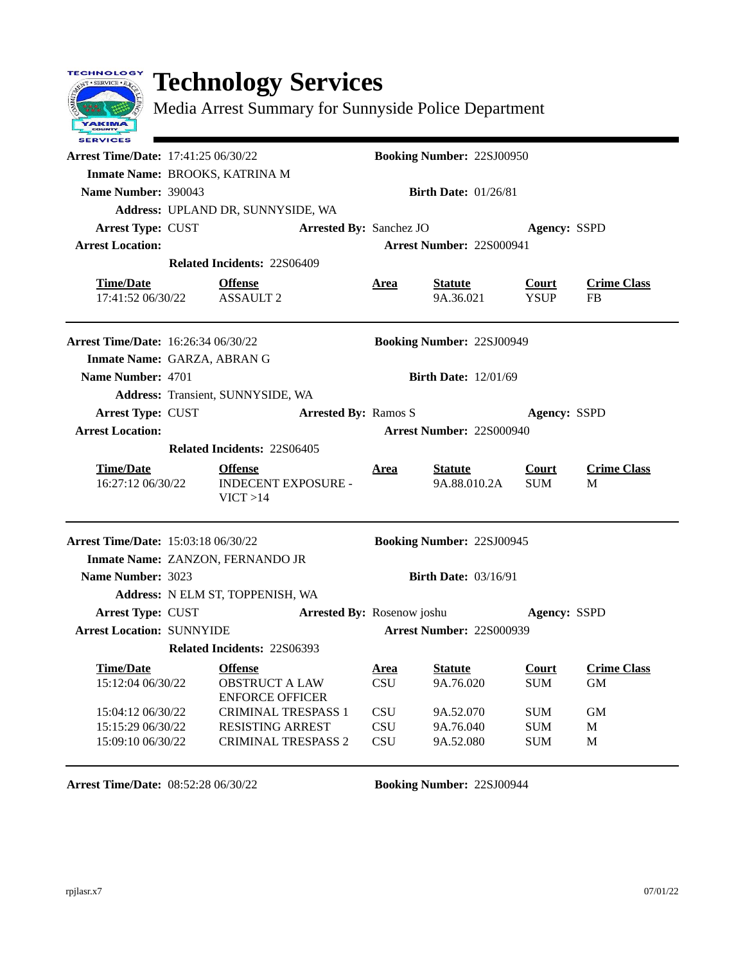## **Technology Services**

TECHNOLOGY NT . SERVICE . E.

YAKIMA

Media Arrest Summary for Sunnyside Police Department

| <b>SERVICES</b>                            |                                                           |                                |                          |                                  |                          |                         |
|--------------------------------------------|-----------------------------------------------------------|--------------------------------|--------------------------|----------------------------------|--------------------------|-------------------------|
| <b>Arrest Time/Date: 17:41:25 06/30/22</b> |                                                           |                                |                          | <b>Booking Number: 22SJ00950</b> |                          |                         |
| Inmate Name: BROOKS, KATRINA M             |                                                           |                                |                          |                                  |                          |                         |
| Name Number: 390043                        |                                                           |                                |                          | <b>Birth Date: 01/26/81</b>      |                          |                         |
|                                            | Address: UPLAND DR, SUNNYSIDE, WA                         |                                |                          |                                  |                          |                         |
| <b>Arrest Type: CUST</b>                   |                                                           | <b>Arrested By: Sanchez JO</b> |                          |                                  |                          | <b>Agency: SSPD</b>     |
| <b>Arrest Location:</b>                    |                                                           |                                |                          | <b>Arrest Number: 22S000941</b>  |                          |                         |
|                                            | <b>Related Incidents: 22S06409</b>                        |                                |                          |                                  |                          |                         |
| <b>Time/Date</b>                           | <b>Offense</b>                                            |                                | Area                     | <b>Statute</b>                   | Court                    | <b>Crime Class</b>      |
| 17:41:52 06/30/22                          | <b>ASSAULT 2</b>                                          |                                |                          | 9A.36.021                        | <b>YSUP</b>              | <b>FB</b>               |
| <b>Arrest Time/Date: 16:26:34 06/30/22</b> |                                                           |                                |                          | <b>Booking Number: 22SJ00949</b> |                          |                         |
| Inmate Name: GARZA, ABRAN G                |                                                           |                                |                          |                                  |                          |                         |
| Name Number: 4701                          |                                                           |                                |                          | <b>Birth Date: 12/01/69</b>      |                          |                         |
|                                            | Address: Transient, SUNNYSIDE, WA                         |                                |                          |                                  |                          |                         |
| Arrest Type: CUST                          |                                                           | <b>Arrested By: Ramos S</b>    |                          |                                  |                          | Agency: SSPD            |
| <b>Arrest Location:</b>                    |                                                           |                                |                          | <b>Arrest Number: 225000940</b>  |                          |                         |
|                                            | <b>Related Incidents: 22S06405</b>                        |                                |                          |                                  |                          |                         |
|                                            |                                                           |                                |                          |                                  |                          |                         |
| <b>Time/Date</b><br>16:27:12 06/30/22      | <b>Offense</b><br><b>INDECENT EXPOSURE -</b><br>VICT > 14 |                                | Area                     | <b>Statute</b><br>9A.88.010.2A   | Court<br><b>SUM</b>      | <b>Crime Class</b><br>M |
| Arrest Time/Date: 15:03:18 06/30/22        |                                                           |                                |                          | <b>Booking Number: 22SJ00945</b> |                          |                         |
|                                            | Inmate Name: ZANZON, FERNANDO JR                          |                                |                          |                                  |                          |                         |
| Name Number: 3023                          |                                                           |                                |                          | <b>Birth Date: 03/16/91</b>      |                          |                         |
|                                            | Address: N ELM ST, TOPPENISH, WA                          |                                |                          |                                  |                          |                         |
| Arrest Type: CUST                          |                                                           | Arrested By: Rosenow joshu     |                          |                                  |                          | Agency: SSPD            |
| <b>Arrest Location: SUNNYIDE</b>           |                                                           |                                |                          | <b>Arrest Number: 22S000939</b>  |                          |                         |
|                                            | Related Incidents: 22S06393                               |                                |                          |                                  |                          |                         |
| <b>Time/Date</b>                           | <b>Offense</b>                                            |                                | <u>Area</u>              | <b>Statute</b>                   | <b>Court</b>             | <b>Crime Class</b>      |
| 15:12:04 06/30/22                          | <b>OBSTRUCT A LAW</b>                                     |                                | <b>CSU</b>               | 9A.76.020                        | <b>SUM</b>               | <b>GM</b>               |
|                                            | <b>ENFORCE OFFICER</b>                                    |                                |                          |                                  |                          |                         |
| 15:04:12 06/30/22<br>15:15:29 06/30/22     | <b>CRIMINAL TRESPASS 1</b><br><b>RESISTING ARREST</b>     |                                | <b>CSU</b><br><b>CSU</b> | 9A.52.070<br>9A.76.040           | <b>SUM</b><br><b>SUM</b> | <b>GM</b><br>M          |
| 15:09:10 06/30/22                          | <b>CRIMINAL TRESPASS 2</b>                                |                                | <b>CSU</b>               | 9A.52.080                        | <b>SUM</b>               | M                       |

**Arrest Time/Date:** 08:52:28 06/30/22 **Booking Number:** 22SJ00944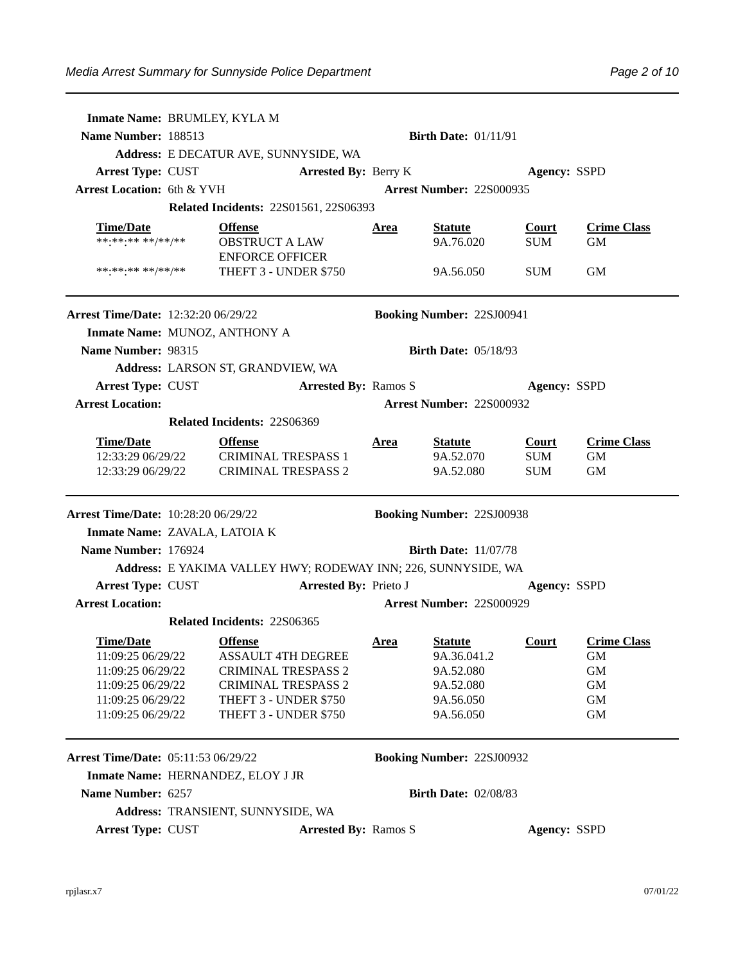| Inmate Name: BRUMLEY, KYLA M               |                                                               |                              |                             |                                  |                     |                    |
|--------------------------------------------|---------------------------------------------------------------|------------------------------|-----------------------------|----------------------------------|---------------------|--------------------|
| Name Number: 188513                        |                                                               |                              |                             | <b>Birth Date: 01/11/91</b>      |                     |                    |
|                                            | Address: E DECATUR AVE, SUNNYSIDE, WA                         |                              |                             |                                  |                     |                    |
| <b>Arrest Type: CUST</b>                   |                                                               | <b>Arrested By: Berry K</b>  |                             |                                  | <b>Agency: SSPD</b> |                    |
| <b>Arrest Location: 6th &amp; YVH</b>      |                                                               |                              |                             | <b>Arrest Number: 22S000935</b>  |                     |                    |
|                                            | <b>Related Incidents: 22S01561, 22S06393</b>                  |                              |                             |                                  |                     |                    |
| <b>Time/Date</b>                           | <b>Offense</b>                                                |                              | Area                        | <b>Statute</b>                   | <b>Court</b>        | <b>Crime Class</b> |
| ******** **/**/**                          | <b>OBSTRUCT A LAW</b>                                         |                              |                             | 9A.76.020                        | <b>SUM</b>          | <b>GM</b>          |
|                                            | <b>ENFORCE OFFICER</b>                                        |                              |                             |                                  |                     |                    |
| ******** **/**/**                          | THEFT 3 - UNDER \$750                                         |                              |                             | 9A.56.050                        | <b>SUM</b>          | GM                 |
| <b>Arrest Time/Date: 12:32:20 06/29/22</b> |                                                               |                              |                             | <b>Booking Number: 22SJ00941</b> |                     |                    |
| Inmate Name: MUNOZ, ANTHONY A              |                                                               |                              |                             |                                  |                     |                    |
| Name Number: 98315                         |                                                               |                              |                             | <b>Birth Date: 05/18/93</b>      |                     |                    |
|                                            | Address: LARSON ST, GRANDVIEW, WA                             |                              |                             |                                  |                     |                    |
| <b>Arrest Type: CUST</b>                   |                                                               |                              | <b>Arrested By: Ramos S</b> |                                  | <b>Agency: SSPD</b> |                    |
| <b>Arrest Location:</b>                    |                                                               |                              |                             | <b>Arrest Number: 225000932</b>  |                     |                    |
|                                            | Related Incidents: 22S06369                                   |                              |                             |                                  |                     |                    |
| <b>Time/Date</b>                           | <b>Offense</b>                                                |                              | <u>Area</u>                 | <b>Statute</b>                   | Court               | <b>Crime Class</b> |
|                                            | 12:33:29 06/29/22 CRIMINAL TRESPASS 1                         |                              |                             | 9A.52.070                        | <b>SUM</b>          | <b>GM</b>          |
| 12:33:29 06/29/22                          | <b>CRIMINAL TRESPASS 2</b>                                    |                              |                             | 9A.52.080                        | <b>SUM</b>          | <b>GM</b>          |
| <b>Arrest Time/Date: 10:28:20 06/29/22</b> |                                                               |                              |                             | <b>Booking Number: 22SJ00938</b> |                     |                    |
| Inmate Name: ZAVALA, LATOIA K              |                                                               |                              |                             |                                  |                     |                    |
| Name Number: 176924                        |                                                               |                              |                             | <b>Birth Date: 11/07/78</b>      |                     |                    |
|                                            | Address: E YAKIMA VALLEY HWY; RODEWAY INN; 226, SUNNYSIDE, WA |                              |                             |                                  |                     |                    |
| <b>Arrest Type: CUST</b>                   |                                                               | <b>Arrested By: Prieto J</b> |                             |                                  | <b>Agency: SSPD</b> |                    |
| <b>Arrest Location:</b>                    |                                                               |                              |                             | <b>Arrest Number: 22S000929</b>  |                     |                    |
|                                            | <b>Related Incidents: 22S06365</b>                            |                              |                             |                                  |                     |                    |
| <b>Time/Date</b>                           | <b>Offense</b>                                                |                              | Area                        | <b>Statute</b>                   | Court               | <b>Crime Class</b> |
| 11:09:25 06/29/22                          | <b>ASSAULT 4TH DEGREE</b>                                     |                              |                             | 9A.36.041.2                      |                     | GM                 |
| 11:09:25 06/29/22                          | <b>CRIMINAL TRESPASS 2</b>                                    |                              |                             | 9A.52.080                        |                     | GM                 |
| 11:09:25 06/29/22<br>11:09:25 06/29/22     | <b>CRIMINAL TRESPASS 2</b><br>THEFT 3 - UNDER \$750           |                              |                             | 9A.52.080<br>9A.56.050           |                     | GM<br>GM           |
| 11:09:25 06/29/22                          | THEFT 3 - UNDER \$750                                         |                              |                             | 9A.56.050                        |                     | <b>GM</b>          |
|                                            |                                                               |                              |                             |                                  |                     |                    |
| <b>Arrest Time/Date: 05:11:53 06/29/22</b> |                                                               |                              |                             | <b>Booking Number: 22SJ00932</b> |                     |                    |
|                                            | Inmate Name: HERNANDEZ, ELOY J JR                             |                              |                             |                                  |                     |                    |
| Name Number: 6257                          |                                                               |                              |                             |                                  |                     |                    |
|                                            |                                                               |                              |                             | <b>Birth Date: 02/08/83</b>      |                     |                    |
|                                            | Address: TRANSIENT, SUNNYSIDE, WA                             |                              |                             |                                  |                     |                    |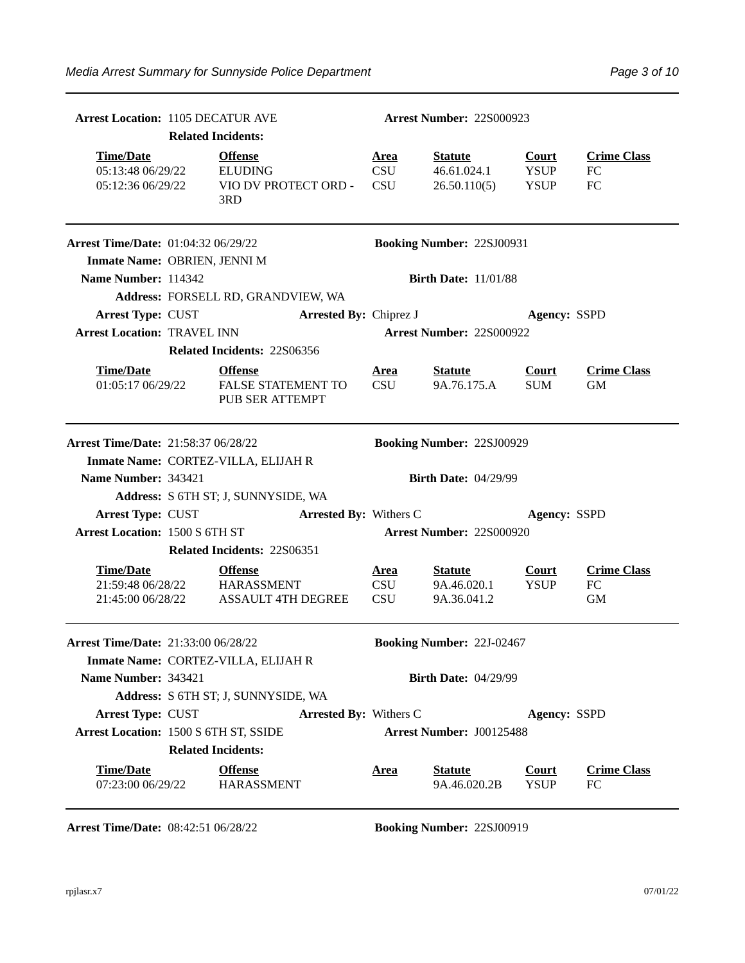| <b>Arrest Location: 1105 DECATUR AVE</b>                   |                           |                                                                  |                                         | <b>Arrest Number: 22S000923</b>               |                                            |                                 |
|------------------------------------------------------------|---------------------------|------------------------------------------------------------------|-----------------------------------------|-----------------------------------------------|--------------------------------------------|---------------------------------|
|                                                            | <b>Related Incidents:</b> |                                                                  |                                         |                                               |                                            |                                 |
| <b>Time/Date</b><br>05:13:48 06/29/22<br>05:12:36 06/29/22 |                           | <b>Offense</b><br><b>ELUDING</b><br>VIO DV PROTECT ORD -<br>3RD  | <u>Area</u><br><b>CSU</b><br><b>CSU</b> | <b>Statute</b><br>46.61.024.1<br>26.50.110(5) | <b>Court</b><br><b>YSUP</b><br><b>YSUP</b> | <b>Crime Class</b><br>FC<br>FC  |
| <b>Arrest Time/Date: 01:04:32 06/29/22</b>                 |                           |                                                                  |                                         | <b>Booking Number: 22SJ00931</b>              |                                            |                                 |
| Inmate Name: OBRIEN, JENNI M                               |                           |                                                                  |                                         |                                               |                                            |                                 |
| Name Number: 114342                                        |                           |                                                                  |                                         | <b>Birth Date: 11/01/88</b>                   |                                            |                                 |
|                                                            |                           | Address: FORSELL RD, GRANDVIEW, WA                               |                                         |                                               |                                            |                                 |
| <b>Arrest Type: CUST</b>                                   |                           | <b>Arrested By: Chiprez J</b>                                    |                                         |                                               | Agency: SSPD                               |                                 |
| <b>Arrest Location: TRAVEL INN</b>                         |                           |                                                                  |                                         | Arrest Number: 22S000922                      |                                            |                                 |
|                                                            |                           | Related Incidents: 22S06356                                      |                                         |                                               |                                            |                                 |
| <b>Time/Date</b><br>01:05:17 06/29/22                      |                           | <b>Offense</b><br>FALSE STATEMENT TO<br>PUB SER ATTEMPT          | <u>Area</u><br><b>CSU</b>               | <b>Statute</b><br>9A.76.175.A                 | <b>Court</b><br><b>SUM</b>                 | <b>Crime Class</b><br><b>GM</b> |
| Arrest Time/Date: 21:58:37 06/28/22                        |                           |                                                                  |                                         | <b>Booking Number: 22SJ00929</b>              |                                            |                                 |
|                                                            |                           | Inmate Name: CORTEZ-VILLA, ELIJAH R                              |                                         |                                               |                                            |                                 |
| Name Number: 343421                                        |                           |                                                                  |                                         | <b>Birth Date: 04/29/99</b>                   |                                            |                                 |
|                                                            |                           | Address: S 6TH ST; J, SUNNYSIDE, WA                              |                                         |                                               |                                            |                                 |
| <b>Arrest Type: CUST</b>                                   |                           | <b>Arrested By: Withers C</b>                                    |                                         |                                               | <b>Agency: SSPD</b>                        |                                 |
| <b>Arrest Location: 1500 S 6TH ST</b>                      |                           |                                                                  |                                         | <b>Arrest Number: 22S000920</b>               |                                            |                                 |
|                                                            |                           | Related Incidents: 22S06351                                      |                                         |                                               |                                            |                                 |
| <b>Time/Date</b><br>21:59:48 06/28/22<br>21:45:00 06/28/22 |                           | <b>Offense</b><br><b>HARASSMENT</b><br><b>ASSAULT 4TH DEGREE</b> | <u>Area</u><br><b>CSU</b><br><b>CSU</b> | <b>Statute</b><br>9A.46.020.1<br>9A.36.041.2  | <b>Court</b><br><b>YSUP</b>                | <b>Crime Class</b><br>FC<br>GM  |
| Arrest Time/Date: 21:33:00 06/28/22                        |                           | Inmate Name: CORTEZ-VILLA, ELIJAH R                              |                                         | <b>Booking Number: 22J-02467</b>              |                                            |                                 |
| Name Number: 343421                                        |                           |                                                                  |                                         | <b>Birth Date: 04/29/99</b>                   |                                            |                                 |
|                                                            |                           | Address: S 6TH ST; J, SUNNYSIDE, WA                              |                                         |                                               |                                            |                                 |
| <b>Arrest Type: CUST</b>                                   |                           | <b>Arrested By: Withers C</b>                                    |                                         |                                               | <b>Agency: SSPD</b>                        |                                 |
| Arrest Location: 1500 S 6TH ST, SSIDE                      |                           |                                                                  |                                         | Arrest Number: J00125488                      |                                            |                                 |
|                                                            | <b>Related Incidents:</b> |                                                                  |                                         |                                               |                                            |                                 |
| <b>Time/Date</b><br>07:23:00 06/29/22                      |                           | <b>Offense</b><br><b>HARASSMENT</b>                              | <u>Area</u>                             | <b>Statute</b><br>9A.46.020.2B                | <b>Court</b><br><b>YSUP</b>                | <b>Crime Class</b><br>FC        |

**Arrest Time/Date:** 08:42:51 06/28/22 **Booking Number:** 22SJ00919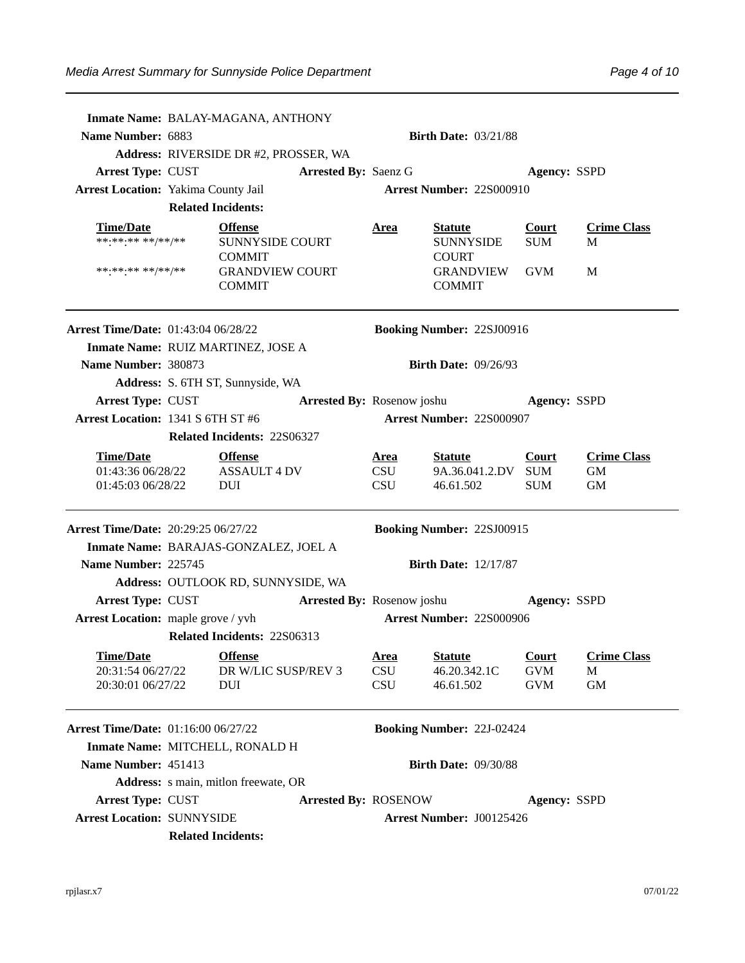|                                                                                | Inmate Name: BALAY-MAGANA, ANTHONY                                   |                                         |                                                       |                                   |                                       |
|--------------------------------------------------------------------------------|----------------------------------------------------------------------|-----------------------------------------|-------------------------------------------------------|-----------------------------------|---------------------------------------|
| <b>Name Number: 6883</b>                                                       |                                                                      |                                         | <b>Birth Date: 03/21/88</b>                           |                                   |                                       |
|                                                                                | Address: RIVERSIDE DR #2, PROSSER, WA<br><b>Arrested By: Saenz G</b> |                                         |                                                       |                                   |                                       |
| <b>Arrest Type: CUST</b><br><b>Arrest Location: Yakima County Jail</b>         |                                                                      |                                         | <b>Arrest Number: 22S000910</b>                       | <b>Agency: SSPD</b>               |                                       |
|                                                                                | <b>Related Incidents:</b>                                            |                                         |                                                       |                                   |                                       |
|                                                                                |                                                                      |                                         |                                                       |                                   |                                       |
| <b>Time/Date</b><br>******** **/**/**                                          | <b>Offense</b><br><b>SUNNYSIDE COURT</b>                             | <u>Area</u>                             | <b>Statute</b><br><b>SUNNYSIDE</b>                    | <b>Court</b><br><b>SUM</b>        | <b>Crime Class</b><br>М               |
|                                                                                | <b>COMMIT</b>                                                        |                                         | <b>COURT</b>                                          |                                   |                                       |
| ******** **/**/**                                                              | <b>GRANDVIEW COURT</b><br><b>COMMIT</b>                              |                                         | GRANDVIEW<br><b>COMMIT</b>                            | GVM                               | M                                     |
| <b>Arrest Time/Date: 01:43:04 06/28/22</b>                                     |                                                                      |                                         | <b>Booking Number: 22SJ00916</b>                      |                                   |                                       |
|                                                                                | Inmate Name: RUIZ MARTINEZ, JOSE A                                   |                                         |                                                       |                                   |                                       |
| Name Number: 380873                                                            |                                                                      |                                         | <b>Birth Date: 09/26/93</b>                           |                                   |                                       |
|                                                                                | Address: S. 6TH ST, Sunnyside, WA                                    |                                         |                                                       |                                   |                                       |
| <b>Arrest Type: CUST</b>                                                       |                                                                      |                                         | <b>Arrested By: Rosenow joshu</b>                     | <b>Agency: SSPD</b>               |                                       |
| Arrest Location: 1341 S 6TH ST #6                                              |                                                                      |                                         | <b>Arrest Number: 22S000907</b>                       |                                   |                                       |
|                                                                                | Related Incidents: 22S06327                                          |                                         |                                                       |                                   |                                       |
| <b>Time/Date</b><br><b>Time/Date</b><br>01:43:36 06/28/22<br>01:45:03 06/28/22 | <b>Offense</b><br><b>ASSAULT 4 DV</b><br>DUI                         | <u>Area</u><br><b>CSU</b><br><b>CSU</b> | <u>Statute</u><br>9A.36.041.2.DV SUM<br>46.61.502     | <b>Court</b><br><b>SUM</b>        | <b>Crime Class</b><br>GM<br><b>GM</b> |
| <b>Arrest Time/Date: 20:29:25 06/27/22</b>                                     |                                                                      |                                         | <b>Booking Number: 22SJ00915</b>                      |                                   |                                       |
|                                                                                | Inmate Name: BARAJAS-GONZALEZ, JOEL A                                |                                         |                                                       |                                   |                                       |
| Name Number: 225745                                                            |                                                                      |                                         | <b>Birth Date: 12/17/87</b>                           |                                   |                                       |
|                                                                                | Address: OUTLOOK RD, SUNNYSIDE, WA                                   |                                         |                                                       |                                   |                                       |
| <b>Arrest Type: CUST</b>                                                       |                                                                      |                                         | <b>Arrested By:</b> Rosenow joshu <b>Agency:</b> SSPD |                                   |                                       |
| Arrest Location: maple grove / yvh                                             |                                                                      |                                         | Arrest Number: 22S000906                              |                                   |                                       |
|                                                                                | Related Incidents: 22S06313                                          |                                         |                                                       |                                   |                                       |
| <u>Time/Date</u><br>20:31:54 06/27/22<br>20:30:01 06/27/22                     | <b>Offense</b><br>DR W/LIC SUSP/REV 3<br><b>DUI</b>                  | <u>Area</u><br><b>CSU</b><br>CSU        | <b>Statute</b><br>46.20.342.1C<br>46.61.502           | Court<br><b>GVM</b><br><b>GVM</b> | <b>Crime Class</b><br>М<br><b>GM</b>  |
| <b>Arrest Time/Date: 01:16:00 06/27/22</b>                                     |                                                                      |                                         | <b>Booking Number: 22J-02424</b>                      |                                   |                                       |
|                                                                                | Inmate Name: MITCHELL, RONALD H                                      |                                         |                                                       |                                   |                                       |
| Name Number: 451413                                                            |                                                                      |                                         | <b>Birth Date: 09/30/88</b>                           |                                   |                                       |
|                                                                                | Address: s main, mitlon freewate, OR                                 |                                         |                                                       |                                   |                                       |
| <b>Arrest Type: CUST</b>                                                       |                                                                      |                                         |                                                       | <b>Agency: SSPD</b>               |                                       |
|                                                                                | <b>Arrested By: ROSENOW</b>                                          |                                         |                                                       |                                   |                                       |
| <b>Arrest Location: SUNNYSIDE</b>                                              | <b>Related Incidents:</b>                                            |                                         | <b>Arrest Number: J00125426</b>                       |                                   |                                       |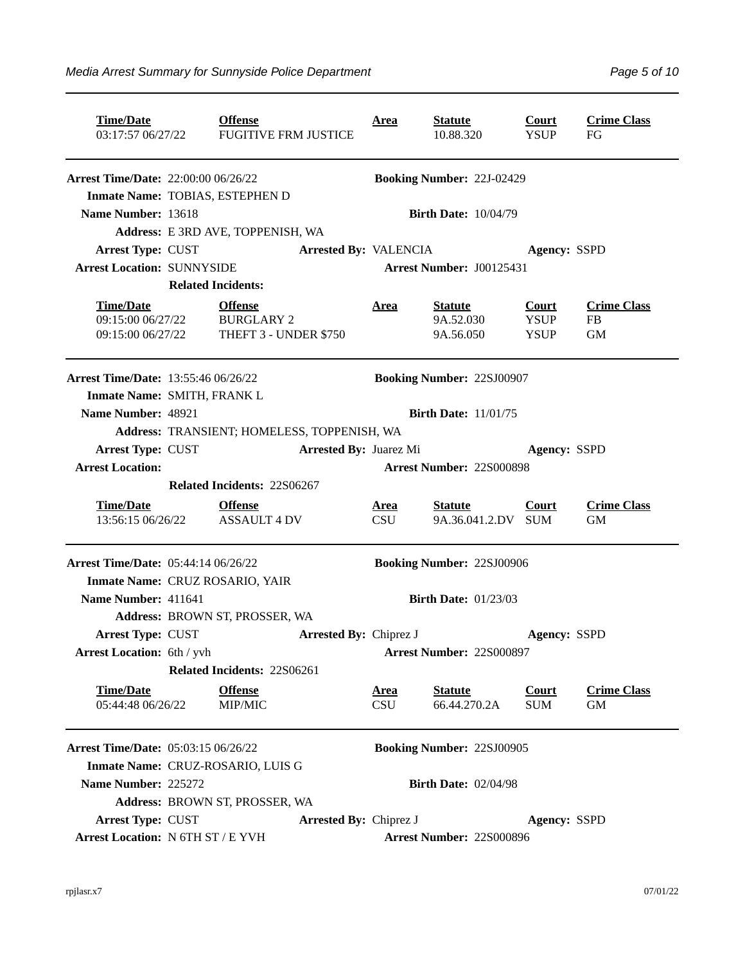| <b>Time/Date</b><br>03:17:57 06/27/22                      | <b>Offense</b><br><b>FUGITIVE FRM JUSTICE</b>                |                               | <u>Area</u>               | <b>Statute</b><br>10.88.320              | Court<br><b>YSUP</b>                       | <b>Crime Class</b><br>FG                     |
|------------------------------------------------------------|--------------------------------------------------------------|-------------------------------|---------------------------|------------------------------------------|--------------------------------------------|----------------------------------------------|
| <b>Arrest Time/Date: 22:00:00 06/26/22</b>                 |                                                              |                               |                           | <b>Booking Number: 22J-02429</b>         |                                            |                                              |
| Inmate Name: TOBIAS, ESTEPHEN D                            |                                                              |                               |                           |                                          |                                            |                                              |
| Name Number: 13618                                         |                                                              |                               |                           | <b>Birth Date: 10/04/79</b>              |                                            |                                              |
|                                                            | Address: E 3RD AVE, TOPPENISH, WA                            |                               |                           |                                          |                                            |                                              |
| <b>Arrest Type: CUST</b>                                   |                                                              | <b>Arrested By: VALENCIA</b>  |                           |                                          | <b>Agency: SSPD</b>                        |                                              |
| <b>Arrest Location: SUNNYSIDE</b>                          |                                                              |                               |                           | Arrest Number: J00125431                 |                                            |                                              |
|                                                            | <b>Related Incidents:</b>                                    |                               |                           |                                          |                                            |                                              |
| <b>Time/Date</b><br>09:15:00 06/27/22<br>09:15:00 06/27/22 | <b>Offense</b><br><b>BURGLARY 2</b><br>THEFT 3 - UNDER \$750 |                               | <u>Area</u>               | <b>Statute</b><br>9A.52.030<br>9A.56.050 | <b>Court</b><br><b>YSUP</b><br><b>YSUP</b> | <b>Crime Class</b><br><b>FB</b><br><b>GM</b> |
| <b>Arrest Time/Date: 13:55:46 06/26/22</b>                 |                                                              |                               |                           | <b>Booking Number: 22SJ00907</b>         |                                            |                                              |
| Inmate Name: SMITH, FRANK L                                |                                                              |                               |                           |                                          |                                            |                                              |
| Name Number: 48921                                         |                                                              |                               |                           | <b>Birth Date: 11/01/75</b>              |                                            |                                              |
|                                                            | Address: TRANSIENT; HOMELESS, TOPPENISH, WA                  |                               |                           |                                          |                                            |                                              |
| Arrest Type: CUST                                          |                                                              | <b>Arrested By: Juarez Mi</b> |                           |                                          | <b>Agency: SSPD</b>                        |                                              |
| <b>Arrest Location:</b>                                    |                                                              |                               |                           | <b>Arrest Number: 22S000898</b>          |                                            |                                              |
|                                                            | Related Incidents: 22S06267                                  |                               |                           |                                          |                                            |                                              |
| <b>Time/Date</b><br>13:56:15 06/26/22                      | <b>Offense</b><br><b>ASSAULT 4 DV</b>                        |                               | <u>Area</u><br><b>CSU</b> | <b>Statute</b><br>9A.36.041.2.DV SUM     | Court                                      | <b>Crime Class</b><br><b>GM</b>              |
| <b>Arrest Time/Date: 05:44:14 06/26/22</b>                 |                                                              |                               |                           | <b>Booking Number: 22SJ00906</b>         |                                            |                                              |
|                                                            | Inmate Name: CRUZ ROSARIO, YAIR                              |                               |                           |                                          |                                            |                                              |
| Name Number: 411641                                        |                                                              |                               |                           | <b>Birth Date: 01/23/03</b>              |                                            |                                              |
|                                                            | Address: BROWN ST, PROSSER, WA                               |                               |                           |                                          |                                            |                                              |
| Arrest Type: CUST                                          |                                                              | <b>Arrested By: Chiprez J</b> |                           |                                          | <b>Agency: SSPD</b>                        |                                              |
| <b>Arrest Location: 6th / yvh</b>                          |                                                              |                               |                           | <b>Arrest Number: 22S000897</b>          |                                            |                                              |
|                                                            | <b>Related Incidents: 22S06261</b>                           |                               |                           |                                          |                                            |                                              |
| <b>Time/Date</b>                                           | <b>Offense</b>                                               |                               | <u>Area</u>               | <b>Statute</b>                           | <b>Court</b>                               | <b>Crime Class</b>                           |
| 05:44:48 06/26/22                                          | MIP/MIC                                                      |                               | <b>CSU</b>                | 66.44.270.2A                             | <b>SUM</b>                                 | <b>GM</b>                                    |
| <b>Arrest Time/Date: 05:03:15 06/26/22</b>                 |                                                              |                               |                           | <b>Booking Number: 22SJ00905</b>         |                                            |                                              |
|                                                            | Inmate Name: CRUZ-ROSARIO, LUIS G                            |                               |                           |                                          |                                            |                                              |
| Name Number: 225272                                        |                                                              |                               |                           | <b>Birth Date: 02/04/98</b>              |                                            |                                              |
|                                                            | Address: BROWN ST, PROSSER, WA                               |                               |                           |                                          |                                            |                                              |
| Arrest Type: CUST                                          |                                                              | <b>Arrested By: Chiprez J</b> |                           |                                          | <b>Agency: SSPD</b>                        |                                              |
| Arrest Location: N 6TH ST / E YVH                          |                                                              |                               |                           | Arrest Number: 22S000896                 |                                            |                                              |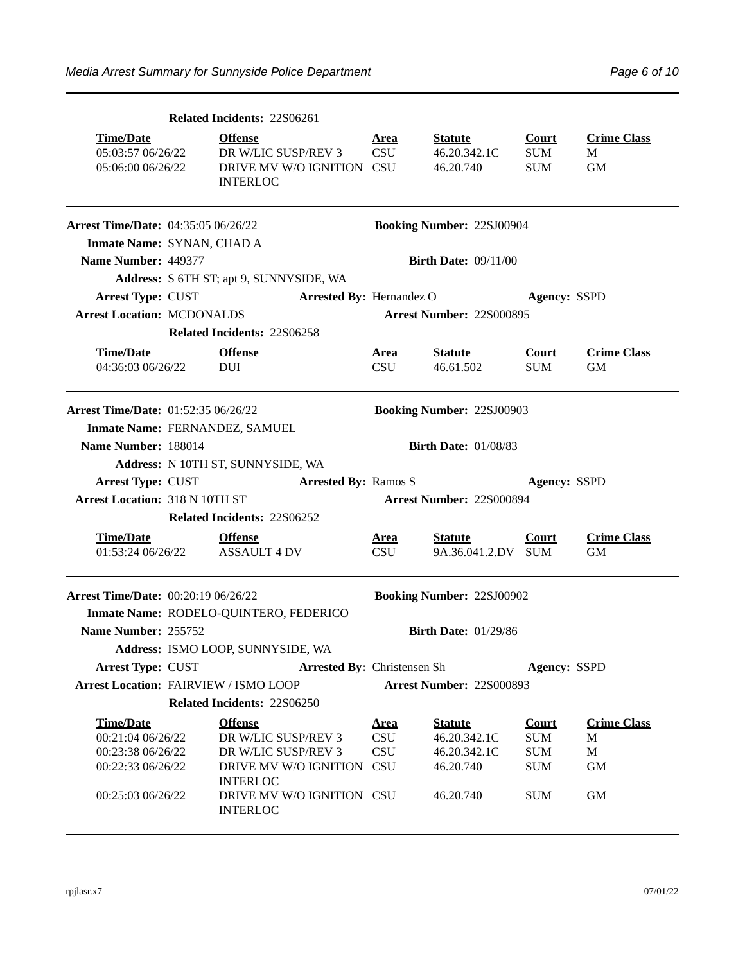|                                                                                                      | <b>Related Incidents: 22S06261</b>                                                                                                        |                           |                                                                          |                                                                      |                                                 |  |
|------------------------------------------------------------------------------------------------------|-------------------------------------------------------------------------------------------------------------------------------------------|---------------------------|--------------------------------------------------------------------------|----------------------------------------------------------------------|-------------------------------------------------|--|
| <b>Time/Date</b><br>05:03:57 06/26/22<br>05:06:00 06/26/22                                           | <b>Offense</b><br>DR W/LIC SUSP/REV 3<br>DRIVE MV W/O IGNITION CSU<br><b>INTERLOC</b>                                                     | <u>Area</u><br>CSU        | <b>Statute</b><br>46.20.342.1C<br>46.20.740                              | <b>Court</b><br><b>SUM</b><br><b>SUM</b>                             | <b>Crime Class</b><br>M<br><b>GM</b>            |  |
| Arrest Time/Date: 04:35:05 06/26/22                                                                  |                                                                                                                                           |                           | <b>Booking Number: 22SJ00904</b>                                         |                                                                      |                                                 |  |
| Inmate Name: SYNAN, CHAD A                                                                           |                                                                                                                                           |                           |                                                                          |                                                                      |                                                 |  |
| Name Number: 449377                                                                                  |                                                                                                                                           |                           | <b>Birth Date: 09/11/00</b>                                              |                                                                      |                                                 |  |
|                                                                                                      | Address: S 6TH ST; apt 9, SUNNYSIDE, WA                                                                                                   |                           |                                                                          |                                                                      |                                                 |  |
| Arrest Type: CUST                                                                                    | <b>Arrested By: Hernandez O</b>                                                                                                           |                           |                                                                          | <b>Agency: SSPD</b>                                                  |                                                 |  |
| <b>Arrest Location: MCDONALDS</b>                                                                    |                                                                                                                                           |                           | <b>Arrest Number: 22S000895</b>                                          |                                                                      |                                                 |  |
|                                                                                                      | <b>Related Incidents: 22S06258</b>                                                                                                        |                           |                                                                          |                                                                      |                                                 |  |
| <b>Time/Date</b><br>04:36:03 06/26/22                                                                | <b>Offense</b><br><b>DUI</b>                                                                                                              | <u>Area</u><br><b>CSU</b> | <b>Statute</b><br>46.61.502                                              | <b>Court</b><br><b>SUM</b>                                           | <b>Crime Class</b><br><b>GM</b>                 |  |
| <b>Arrest Time/Date: 01:52:35 06/26/22</b>                                                           |                                                                                                                                           |                           | <b>Booking Number: 22SJ00903</b>                                         |                                                                      |                                                 |  |
|                                                                                                      | Inmate Name: FERNANDEZ, SAMUEL                                                                                                            |                           |                                                                          |                                                                      |                                                 |  |
| Name Number: 188014                                                                                  |                                                                                                                                           |                           | <b>Birth Date: 01/08/83</b>                                              |                                                                      |                                                 |  |
|                                                                                                      | Address: N 10TH ST, SUNNYSIDE, WA                                                                                                         |                           |                                                                          |                                                                      |                                                 |  |
| Arrest Type: CUST                                                                                    | <b>Arrested By: Ramos S</b>                                                                                                               |                           |                                                                          | <b>Agency: SSPD</b>                                                  |                                                 |  |
| <b>Arrest Location: 318 N 10TH ST</b>                                                                |                                                                                                                                           |                           | Arrest Number: 22S000894                                                 |                                                                      |                                                 |  |
|                                                                                                      | Related Incidents: 22S06252                                                                                                               |                           |                                                                          |                                                                      |                                                 |  |
| <b>Time/Date</b><br>01:53:24 06/26/22                                                                | <b>Offense</b><br><b>ASSAULT 4 DV</b>                                                                                                     | <u>Area</u><br><b>CSU</b> | <u>Statute</u><br>9A.36.041.2.DV SUM                                     | <b>Court</b>                                                         | <b>Crime Class</b><br><b>GM</b>                 |  |
| <b>Arrest Time/Date: 00:20:19 06/26/22</b>                                                           |                                                                                                                                           |                           | <b>Booking Number: 22SJ00902</b>                                         |                                                                      |                                                 |  |
|                                                                                                      | Inmate Name: RODELO-QUINTERO, FEDERICO                                                                                                    |                           |                                                                          |                                                                      |                                                 |  |
|                                                                                                      |                                                                                                                                           |                           |                                                                          |                                                                      |                                                 |  |
| Name Number: 255752                                                                                  |                                                                                                                                           |                           | <b>Birth Date: 01/29/86</b>                                              |                                                                      |                                                 |  |
|                                                                                                      | Address: ISMO LOOP, SUNNYSIDE, WA                                                                                                         |                           |                                                                          |                                                                      |                                                 |  |
| Arrest Type: CUST                                                                                    | Arrested By: Christensen Sh                                                                                                               |                           |                                                                          | Agency: SSPD                                                         |                                                 |  |
| Arrest Location: FAIRVIEW / ISMO LOOP                                                                |                                                                                                                                           |                           | <b>Arrest Number: 22S000893</b>                                          |                                                                      |                                                 |  |
|                                                                                                      | Related Incidents: 22S06250                                                                                                               |                           |                                                                          |                                                                      |                                                 |  |
| <b>Time/Date</b><br>00:21:04 06/26/22<br>00:23:38 06/26/22<br>00:22:33 06/26/22<br>00:25:03 06/26/22 | <b>Offense</b><br>DR W/LIC SUSP/REV 3<br>DR W/LIC SUSP/REV 3<br>DRIVE MV W/O IGNITION CSU<br><b>INTERLOC</b><br>DRIVE MV W/O IGNITION CSU | <u>Area</u><br>CSU<br>CSU | <b>Statute</b><br>46.20.342.1C<br>46.20.342.1C<br>46.20.740<br>46.20.740 | <b>Court</b><br><b>SUM</b><br><b>SUM</b><br><b>SUM</b><br><b>SUM</b> | <b>Crime Class</b><br>М<br>M<br><b>GM</b><br>GM |  |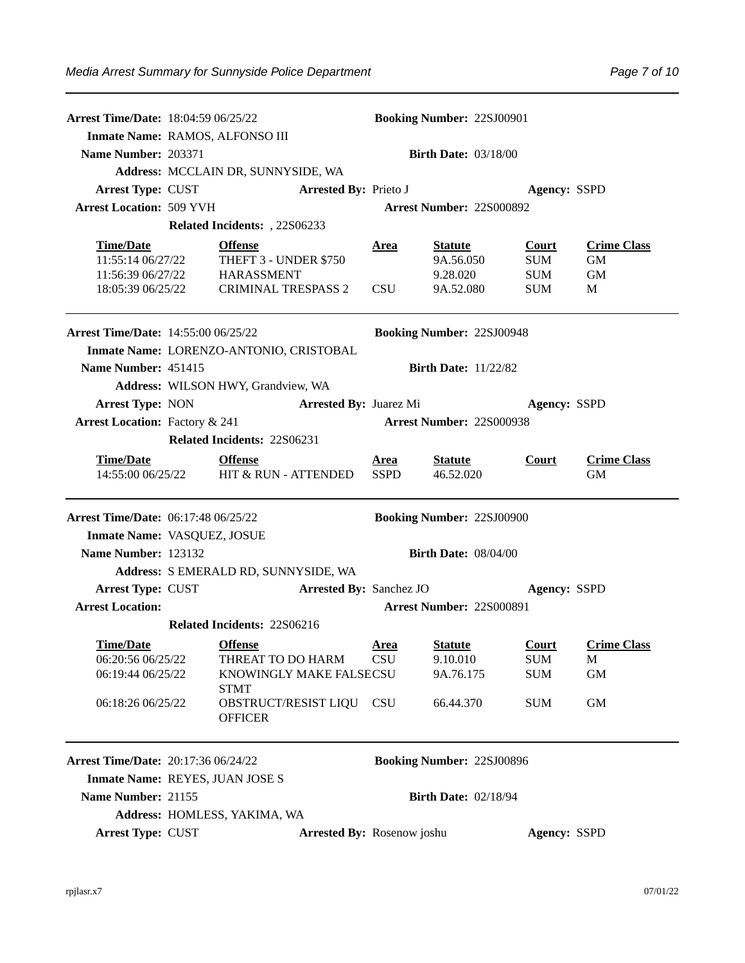| <b>Arrest Time/Date: 18:04:59 06/25/22</b>                                      |                                                                                            |                            | <b>Booking Number: 22SJ00901</b>                     |                                                        |                                            |
|---------------------------------------------------------------------------------|--------------------------------------------------------------------------------------------|----------------------------|------------------------------------------------------|--------------------------------------------------------|--------------------------------------------|
| Inmate Name: RAMOS, ALFONSO III                                                 |                                                                                            |                            |                                                      |                                                        |                                            |
| Name Number: 203371                                                             |                                                                                            |                            | <b>Birth Date: 03/18/00</b>                          |                                                        |                                            |
|                                                                                 | Address: MCCLAIN DR, SUNNYSIDE, WA                                                         |                            |                                                      |                                                        |                                            |
| <b>Arrest Type: CUST</b>                                                        | <b>Arrested By: Prieto J</b>                                                               |                            |                                                      | <b>Agency: SSPD</b>                                    |                                            |
| <b>Arrest Location: 509 YVH</b>                                                 |                                                                                            |                            | Arrest Number: 22S000892                             |                                                        |                                            |
|                                                                                 | Related Incidents: , 22S06233                                                              |                            |                                                      |                                                        |                                            |
| <b>Time/Date</b><br>11:55:14 06/27/22<br>11:56:39 06/27/22<br>18:05:39 06/25/22 | <b>Offense</b><br>THEFT 3 - UNDER \$750<br><b>HARASSMENT</b><br><b>CRIMINAL TRESPASS 2</b> | Area<br><b>CSU</b>         | <b>Statute</b><br>9A.56.050<br>9.28.020<br>9A.52.080 | <b>Court</b><br><b>SUM</b><br><b>SUM</b><br><b>SUM</b> | <b>Crime Class</b><br><b>GM</b><br>GM<br>M |
| <b>Arrest Time/Date: 14:55:00 06/25/22</b>                                      |                                                                                            |                            | <b>Booking Number: 22SJ00948</b>                     |                                                        |                                            |
|                                                                                 | Inmate Name: LORENZO-ANTONIO, CRISTOBAL                                                    |                            |                                                      |                                                        |                                            |
| Name Number: 451415                                                             |                                                                                            |                            | <b>Birth Date: 11/22/82</b>                          |                                                        |                                            |
|                                                                                 | Address: WILSON HWY, Grandview, WA                                                         |                            |                                                      |                                                        |                                            |
| <b>Arrest Type: NON</b>                                                         | <b>Arrested By: Juarez Mi</b>                                                              |                            |                                                      | <b>Agency: SSPD</b>                                    |                                            |
| <b>Arrest Location: Factory &amp; 241</b>                                       |                                                                                            |                            | Arrest Number: 22S000938                             |                                                        |                                            |
|                                                                                 | Related Incidents: 22S06231                                                                |                            |                                                      |                                                        |                                            |
| <b>Time/Date</b><br>14:55:00 06/25/22                                           | <b>Offense</b><br><b>HIT &amp; RUN - ATTENDED</b>                                          | <u>Area</u><br><b>SSPD</b> | <b>Statute</b><br>46.52.020                          | Court                                                  | <b>Crime Class</b><br><b>GM</b>            |
| <b>Arrest Time/Date: 06:17:48 06/25/22</b>                                      |                                                                                            |                            | <b>Booking Number: 22SJ00900</b>                     |                                                        |                                            |
| Inmate Name: VASQUEZ, JOSUE                                                     |                                                                                            |                            |                                                      |                                                        |                                            |
| Name Number: 123132                                                             |                                                                                            |                            | <b>Birth Date: 08/04/00</b>                          |                                                        |                                            |
|                                                                                 | Address: S EMERALD RD, SUNNYSIDE, WA                                                       |                            |                                                      |                                                        |                                            |
| <b>Arrest Type: CUST</b>                                                        | <b>Arrested By: Sanchez JO</b>                                                             |                            |                                                      | <b>Agency: SSPD</b>                                    |                                            |
| <b>Arrest Location:</b>                                                         |                                                                                            |                            | <b>Arrest Number: 22S000891</b>                      |                                                        |                                            |
|                                                                                 | Related Incidents: 22S06216                                                                |                            |                                                      |                                                        |                                            |
| Time/Date                                                                       | <b>Offense</b>                                                                             | Area                       | <b>Statute</b>                                       | <b>Court</b>                                           | <b>Crime Class</b>                         |
| 06:20:56 06/25/22                                                               | THREAT TO DO HARM                                                                          | <b>CSU</b>                 | 9.10.010                                             | <b>SUM</b>                                             | M                                          |
| 06:19:44 06/25/22                                                               | KNOWINGLY MAKE FALSECSU<br><b>STMT</b>                                                     |                            | 9A.76.175                                            | <b>SUM</b>                                             | GM                                         |
| 06:18:26 06/25/22                                                               | OBSTRUCT/RESIST LIQU CSU<br><b>OFFICER</b>                                                 |                            | 66.44.370                                            | <b>SUM</b>                                             | GM                                         |
| <b>Arrest Time/Date: 20:17:36 06/24/22</b>                                      |                                                                                            |                            | <b>Booking Number: 22SJ00896</b>                     |                                                        |                                            |
| Inmate Name: REYES, JUAN JOSE S                                                 |                                                                                            |                            |                                                      |                                                        |                                            |
| Name Number: 21155                                                              |                                                                                            |                            | <b>Birth Date: 02/18/94</b>                          |                                                        |                                            |
|                                                                                 | Address: HOMLESS, YAKIMA, WA                                                               |                            |                                                      |                                                        |                                            |
| <b>Arrest Type: CUST</b>                                                        | Arrested By: Rosenow joshu                                                                 |                            |                                                      | Agency: SSPD                                           |                                            |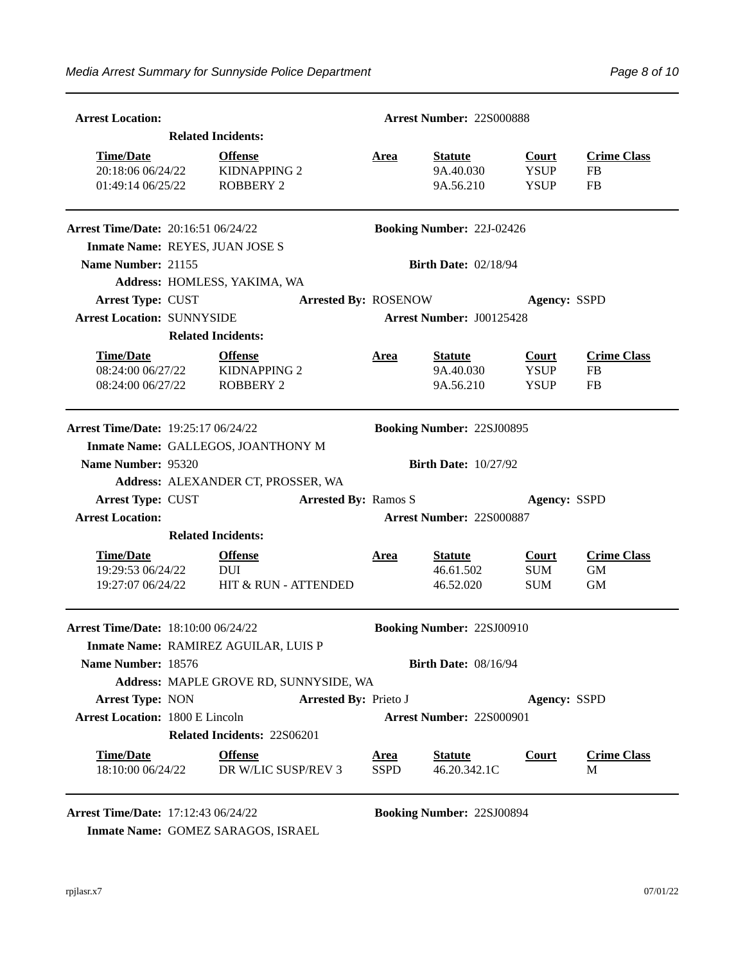| <b>Arrest Location:</b>                                    |                           |                                                           |                              |                            | Arrest Number: 22S000888                 |                                            |                                              |  |  |
|------------------------------------------------------------|---------------------------|-----------------------------------------------------------|------------------------------|----------------------------|------------------------------------------|--------------------------------------------|----------------------------------------------|--|--|
|                                                            | <b>Related Incidents:</b> |                                                           |                              |                            |                                          |                                            |                                              |  |  |
| <b>Time/Date</b><br>20:18:06 06/24/22<br>01:49:14 06/25/22 |                           | <b>Offense</b><br><b>KIDNAPPING 2</b><br><b>ROBBERY 2</b> |                              | <b>Area</b>                | <b>Statute</b><br>9A.40.030<br>9A.56.210 | <b>Court</b><br><b>YSUP</b><br><b>YSUP</b> | <b>Crime Class</b><br><b>FB</b><br><b>FB</b> |  |  |
| <b>Arrest Time/Date: 20:16:51 06/24/22</b>                 |                           |                                                           |                              |                            | <b>Booking Number: 22J-02426</b>         |                                            |                                              |  |  |
| Inmate Name: REYES, JUAN JOSE S                            |                           |                                                           |                              |                            |                                          |                                            |                                              |  |  |
| Name Number: 21155                                         |                           |                                                           |                              |                            | <b>Birth Date: 02/18/94</b>              |                                            |                                              |  |  |
|                                                            |                           | Address: HOMLESS, YAKIMA, WA                              |                              |                            |                                          |                                            |                                              |  |  |
| <b>Arrest Type: CUST</b>                                   |                           |                                                           | <b>Arrested By: ROSENOW</b>  |                            |                                          | <b>Agency: SSPD</b>                        |                                              |  |  |
| <b>Arrest Location: SUNNYSIDE</b>                          |                           |                                                           |                              |                            | Arrest Number: J00125428                 |                                            |                                              |  |  |
|                                                            | <b>Related Incidents:</b> |                                                           |                              |                            |                                          |                                            |                                              |  |  |
| <b>Time/Date</b><br>08:24:00 06/27/22<br>08:24:00 06/27/22 |                           | <b>Offense</b><br><b>KIDNAPPING 2</b><br><b>ROBBERY 2</b> |                              | <u>Area</u>                | <b>Statute</b><br>9A.40.030<br>9A.56.210 | <b>Court</b><br><b>YSUP</b><br><b>YSUP</b> | <b>Crime Class</b><br>FB<br>FB               |  |  |
| <b>Arrest Time/Date: 19:25:17 06/24/22</b>                 |                           |                                                           |                              |                            | <b>Booking Number: 22SJ00895</b>         |                                            |                                              |  |  |
|                                                            |                           | Inmate Name: GALLEGOS, JOANTHONY M                        |                              |                            |                                          |                                            |                                              |  |  |
| Name Number: 95320                                         |                           |                                                           |                              |                            | <b>Birth Date: 10/27/92</b>              |                                            |                                              |  |  |
|                                                            |                           | Address: ALEXANDER CT, PROSSER, WA                        |                              |                            |                                          |                                            |                                              |  |  |
| Arrest Type: CUST                                          |                           |                                                           | <b>Arrested By: Ramos S</b>  |                            |                                          | Agency: SSPD                               |                                              |  |  |
| <b>Arrest Location:</b>                                    |                           |                                                           |                              |                            | <b>Arrest Number: 22S000887</b>          |                                            |                                              |  |  |
|                                                            | <b>Related Incidents:</b> |                                                           |                              |                            |                                          |                                            |                                              |  |  |
| <b>Time/Date</b><br>19:29:53 06/24/22<br>19:27:07 06/24/22 |                           | <b>Offense</b><br><b>DUI</b><br>HIT & RUN - ATTENDED      |                              | Area                       | <b>Statute</b><br>46.61.502<br>46.52.020 | <b>Court</b><br><b>SUM</b><br><b>SUM</b>   | <b>Crime Class</b><br><b>GM</b><br><b>GM</b> |  |  |
| Arrest Time/Date: 18:10:00 06/24/22                        |                           | Inmate Name: RAMIREZ AGUILAR, LUIS P                      |                              |                            | <b>Booking Number: 22SJ00910</b>         |                                            |                                              |  |  |
| Name Number: 18576                                         |                           |                                                           |                              |                            | <b>Birth Date: 08/16/94</b>              |                                            |                                              |  |  |
|                                                            |                           | Address: MAPLE GROVE RD, SUNNYSIDE, WA                    |                              |                            |                                          |                                            |                                              |  |  |
| <b>Arrest Type: NON</b>                                    |                           |                                                           | <b>Arrested By: Prieto J</b> |                            |                                          | Agency: SSPD                               |                                              |  |  |
| <b>Arrest Location: 1800 E Lincoln</b>                     |                           |                                                           |                              |                            | <b>Arrest Number: 22S000901</b>          |                                            |                                              |  |  |
|                                                            |                           | Related Incidents: 22S06201                               |                              |                            |                                          |                                            |                                              |  |  |
| <b>Time/Date</b><br>18:10:00 06/24/22                      |                           | <b>Offense</b><br>DR W/LIC SUSP/REV 3                     |                              | <u>Area</u><br><b>SSPD</b> | <b>Statute</b><br>46.20.342.1C           | <b>Court</b>                               | <b>Crime Class</b><br>М                      |  |  |

**Arrest Time/Date:** 17:12:43 06/24/22 **Booking Number:** 22SJ00894

**Inmate Name:** GOMEZ SARAGOS, ISRAEL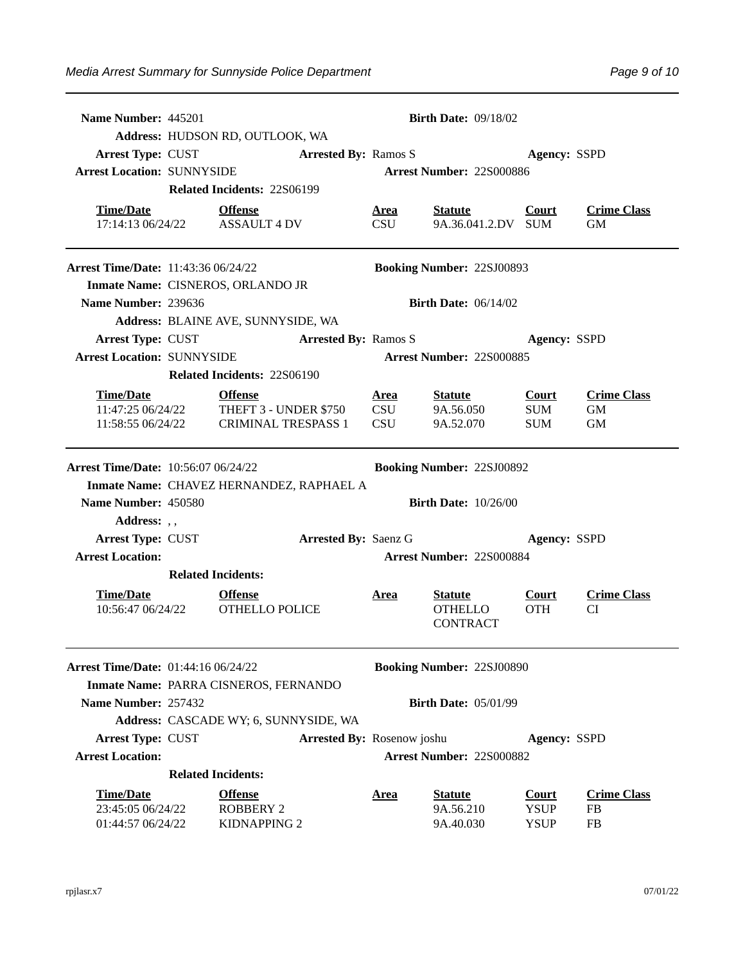| Name Number: 445201                                        |                           |                                                    |                             |                    | <b>Birth Date: 09/18/02</b>                         |                                            |                                 |
|------------------------------------------------------------|---------------------------|----------------------------------------------------|-----------------------------|--------------------|-----------------------------------------------------|--------------------------------------------|---------------------------------|
|                                                            |                           | Address: HUDSON RD, OUTLOOK, WA                    |                             |                    |                                                     |                                            |                                 |
| <b>Arrest Type: CUST</b>                                   |                           |                                                    | <b>Arrested By: Ramos S</b> |                    |                                                     | <b>Agency: SSPD</b>                        |                                 |
| <b>Arrest Location: SUNNYSIDE</b>                          |                           |                                                    |                             |                    | Arrest Number: 22S000886                            |                                            |                                 |
|                                                            |                           | Related Incidents: 22S06199                        |                             |                    |                                                     |                                            |                                 |
| <b>Time/Date</b>                                           |                           | <b>Offense</b><br>17:14:13 06/24/22 ASSAULT 4 DV   |                             | <u>Area</u><br>CSU | <u>Statute</u><br>9A.36.041.2.DV SUM                | Court                                      | <b>Crime Class</b><br><b>GM</b> |
| <b>Arrest Time/Date: 11:43:36 06/24/22</b>                 |                           |                                                    |                             |                    | <b>Booking Number: 22SJ00893</b>                    |                                            |                                 |
|                                                            |                           | Inmate Name: CISNEROS, ORLANDO JR                  |                             |                    |                                                     |                                            |                                 |
| Name Number: 239636                                        |                           |                                                    |                             |                    | <b>Birth Date: 06/14/02</b>                         |                                            |                                 |
|                                                            |                           | Address: BLAINE AVE, SUNNYSIDE, WA                 |                             |                    |                                                     |                                            |                                 |
| <b>Arrest Type: CUST</b>                                   |                           |                                                    | <b>Arrested By: Ramos S</b> |                    |                                                     | <b>Agency: SSPD</b>                        |                                 |
| <b>Arrest Location: SUNNYSIDE</b>                          |                           |                                                    |                             |                    | <b>Arrest Number: 225000885</b>                     |                                            |                                 |
|                                                            |                           | Related Incidents: 22S06190                        |                             |                    |                                                     |                                            |                                 |
| <b>Time/Date</b>                                           |                           | <b>Offense</b>                                     |                             | <u>Area</u>        | <b>Statute</b>                                      | <b>Court</b>                               | <b>Crime Class</b>              |
|                                                            |                           | 11:47:25 06/24/22 THEFT 3 - UNDER \$750            |                             | <b>CSU</b>         | 9A.56.050                                           | <b>SUM</b>                                 | <b>GM</b>                       |
| 11:58:55 06/24/22                                          |                           | <b>CRIMINAL TRESPASS 1</b>                         |                             | <b>CSU</b>         | 9A.52.070                                           | <b>SUM</b>                                 | GM                              |
| Arrest Time/Date: 10:56:07 06/24/22                        |                           |                                                    |                             |                    | <b>Booking Number: 22SJ00892</b>                    |                                            |                                 |
|                                                            |                           | Inmate Name: CHAVEZ HERNANDEZ, RAPHAEL A           |                             |                    |                                                     |                                            |                                 |
| Name Number: 450580                                        |                           |                                                    |                             |                    | <b>Birth Date: 10/26/00</b>                         |                                            |                                 |
| Address: , ,                                               |                           |                                                    |                             |                    |                                                     |                                            |                                 |
| Arrest Type: CUST                                          |                           |                                                    | <b>Arrested By: Saenz G</b> |                    |                                                     | <b>Agency: SSPD</b>                        |                                 |
| <b>Arrest Location:</b>                                    |                           |                                                    |                             |                    | Arrest Number: 22S000884                            |                                            |                                 |
|                                                            | <b>Related Incidents:</b> |                                                    |                             |                    |                                                     |                                            |                                 |
| <b>Time/Date</b><br>10:56:47 06/24/22                      |                           | <b>Offense</b><br>OTHELLO POLICE                   |                             | <u>Area</u>        | <b>Statute</b><br><b>OTHELLO</b><br><b>CONTRACT</b> | <b>Court</b><br><b>OTH</b>                 | <b>Crime Class</b><br><b>CI</b> |
| <b>Arrest Time/Date: 01:44:16 06/24/22</b>                 |                           |                                                    |                             |                    | <b>Booking Number: 22SJ00890</b>                    |                                            |                                 |
|                                                            |                           | Inmate Name: PARRA CISNEROS, FERNANDO              |                             |                    |                                                     |                                            |                                 |
| Name Number: 257432                                        |                           |                                                    |                             |                    | <b>Birth Date: 05/01/99</b>                         |                                            |                                 |
|                                                            |                           | Address: CASCADE WY; 6, SUNNYSIDE, WA              |                             |                    |                                                     |                                            |                                 |
| <b>Arrest Type: CUST</b>                                   |                           |                                                    | Arrested By: Rosenow joshu  |                    |                                                     | <b>Agency: SSPD</b>                        |                                 |
| <b>Arrest Location:</b>                                    |                           |                                                    |                             |                    | Arrest Number: 22S000882                            |                                            |                                 |
|                                                            | <b>Related Incidents:</b> |                                                    |                             |                    |                                                     |                                            |                                 |
| <b>Time/Date</b><br>23:45:05 06/24/22<br>01:44:57 06/24/22 |                           | <b>Offense</b><br><b>ROBBERY 2</b><br>KIDNAPPING 2 |                             | <u>Area</u>        | <b>Statute</b><br>9A.56.210<br>9A.40.030            | <b>Court</b><br><b>YSUP</b><br><b>YSUP</b> | <b>Crime Class</b><br>FB<br>FB  |